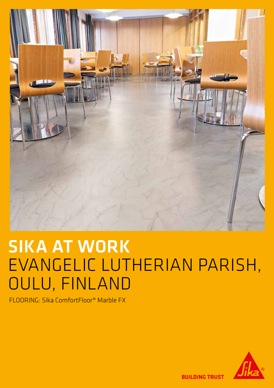

# SIKA AT WORK EVANGELIC LUTHERIAN PARISH, OULU, FINLAND

FLOORING: Sika ComfortFloor® Marble FX



**BUILDING TRUST**